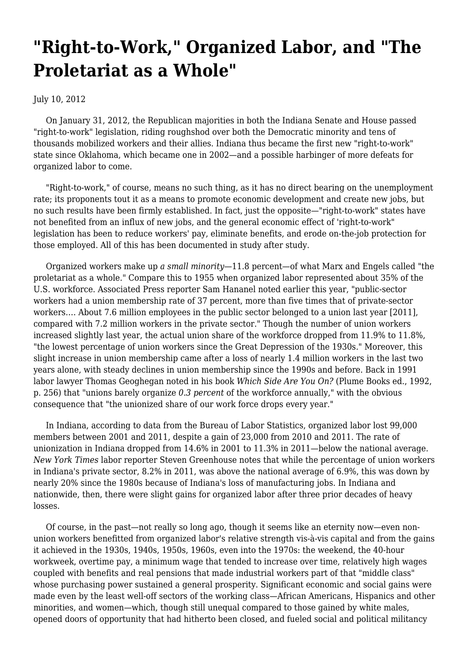## **["Right-to-Work," Organized Labor, and "The](https://newpol.org/right-work-organized-labor-and-proletariat-whole/) [Proletariat as a Whole"](https://newpol.org/right-work-organized-labor-and-proletariat-whole/)**

July 10, 2012

 On January 31, 2012, the Republican majorities in both the Indiana Senate and House passed "right-to-work" legislation, riding roughshod over both the Democratic minority and tens of thousands mobilized workers and their allies. Indiana thus became the first new "right-to-work" state since Oklahoma, which became one in 2002—and a possible harbinger of more defeats for organized labor to come.

 "Right-to-work," of course, means no such thing, as it has no direct bearing on the unemployment rate; its proponents tout it as a means to promote economic development and create new jobs, but no such results have been firmly established. In fact, just the opposite—"right-to-work" states have not benefited from an influx of new jobs, and the general economic effect of 'right-to-work" legislation has been to reduce workers' pay, eliminate benefits, and erode on-the-job protection for those employed. All of this has been [documented](http://www.epi.org/publication/working-hard-indiana-bad-tortured-uphill/) in study after study.

 Organized workers make up *a small minority—*11.8 percent—of what Marx and Engels called "the proletariat as a whole." Compare this to 1955 when organized labor represented about 35% of the U.S. workforce. Associated Press reporter [Sam Hananel](http://www.huffingtonpost.com/2012/01/28/union-membership-2011_n_1239033.html) noted earlier this year, "public-sector workers had a union membership rate of 37 percent, more than five times that of private-sector workers…. About 7.6 million employees in the public sector belonged to a union last year [2011], compared with 7.2 million workers in the private sector." Though the number of union workers increased slightly last year, the actual union share of the workforce dropped from 11.9% to 11.8%, "the lowest percentage of union workers since the Great Depression of the 1930s." Moreover, this slight increase in union membership came after a loss of nearly 1.4 million workers in the last two years alone, with steady declines in union membership since the 1990s and before. Back in 1991 labor lawyer Thomas Geoghegan noted in his book *Which Side Are You On?* (Plume Books ed., 1992, p. 256) that "unions barely organize *0.3 percent* of the workforce annually," with the obvious consequence that "the unionized share of our work force drops every year."

 In Indiana, according to data from the Bureau of Labor Statistics, organized labor lost 99,000 members between 2001 and 2011, despite a gain of 23,000 from 2010 and 2011. The rate of unionization in Indiana dropped from 14.6% in 2001 to 11.3% in 2011—below the national average. *New York Times* labor reporter [Steven Greenhouse](https://newpol.org/www.nytimes.com/2012/01/03/business/gathering-storm-over-right-to-work-in-indiana.html) notes that while the percentage of union workers in Indiana's private sector, 8.2% in 2011, was above the national average of 6.9%, this was down by nearly 20% since the 1980s because of Indiana's loss of manufacturing jobs. In Indiana and nationwide, then, there were slight gains for organized labor after three prior decades of heavy losses.

 Of course, in the past—not really so long ago, though it seems like an eternity now—even nonunion workers benefitted from organized labor's relative strength vis-à-vis capital and from the gains it achieved in the 1930s, 1940s, 1950s, 1960s, even into the 1970s: the weekend, the 40-hour workweek, overtime pay, a minimum wage that tended to increase over time, relatively high wages coupled with benefits and real pensions that made industrial workers part of that "middle class" whose purchasing power sustained a general prosperity. Significant economic and social gains were made even by the least well-off sectors of the working class—African Americans, Hispanics and other minorities, and women—which, though still unequal compared to those gained by white males, opened doors of opportunity that had hitherto been closed, and fueled social and political militancy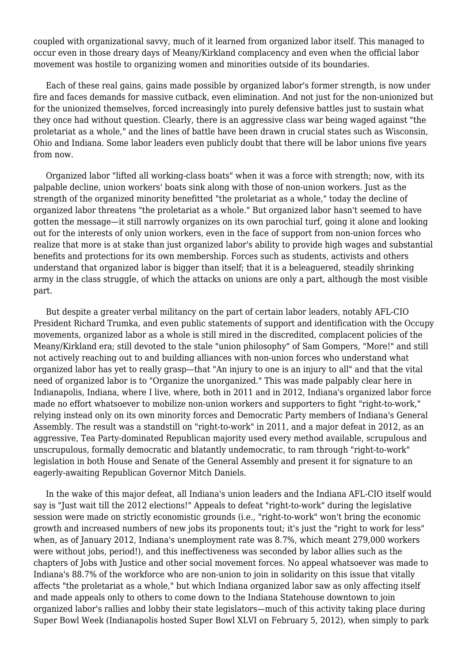coupled with organizational savvy, much of it learned from organized labor itself. This managed to occur even in those dreary days of Meany/Kirkland complacency and even when the official labor movement was hostile to organizing women and minorities outside of its boundaries.

 Each of these real gains, gains made possible by organized labor's former strength, is now under fire and faces demands for massive cutback, even elimination. And not just for the non-unionized but for the unionized themselves, forced increasingly into purely defensive battles just to sustain what they once had without question. Clearly, there is an aggressive class war being waged against "the proletariat as a whole," and the lines of battle have been drawn in crucial states such as Wisconsin, Ohio and Indiana. Some labor leaders even publicly doubt that there will be labor unions five years from now.

 Organized labor "lifted all working-class boats" when it was a force with strength; now, with its palpable decline, union workers' boats sink along with those of non-union workers. Just as the strength of the organized minority benefitted "the proletariat as a whole," today the decline of organized labor threatens "the proletariat as a whole." But organized labor hasn't seemed to have gotten the message—it still narrowly organizes on its own parochial turf, going it alone and looking out for the interests of only union workers, even in the face of support from non-union forces who realize that more is at stake than just organized labor's ability to provide high wages and substantial benefits and protections for its own membership. Forces such as students, activists and others understand that organized labor is bigger than itself; that it is a beleaguered, steadily shrinking army in the class struggle, of which the attacks on unions are only a part, although the most visible part.

 But despite a greater verbal militancy on the part of certain labor leaders, notably AFL-CIO President Richard Trumka, and even public statements of support and identification with the Occupy movements, organized labor as a whole is still mired in the discredited, complacent policies of the Meany/Kirkland era; still devoted to the stale "union philosophy" of Sam Gompers, "More!" and still not actively reaching out to and building alliances with non-union forces who understand what organized labor has yet to really grasp—that "An injury to one is an injury to all" and that the vital need of organized labor is to "Organize the unorganized." This was made palpably clear here in Indianapolis, Indiana, where I live, where, both in 2011 and in 2012, Indiana's organized labor force made no effort whatsoever to mobilize non-union workers and supporters to fight "right-to-work," relying instead only on its own minority forces and Democratic Party members of Indiana's General Assembly. The result was a standstill on "right-to-work" in 2011, and a major defeat in 2012, as an aggressive, Tea Party-dominated Republican majority used every method available, scrupulous and unscrupulous, formally democratic and blatantly undemocratic, to ram through "right-to-work" legislation in both House and Senate of the General Assembly and present it for signature to an eagerly-awaiting Republican Governor Mitch Daniels.

 In the wake of this major defeat, all Indiana's union leaders and the Indiana AFL-CIO itself would say is "Just wait till the 2012 elections!" Appeals to defeat "right-to-work" during the legislative session were made on strictly economistic grounds (i.e., "right-to-work" won't bring the economic growth and increased numbers of new jobs its proponents tout; it's just the "right to work for less" when, as of January 2012, Indiana's unemployment rate was 8.7%, which meant 279,000 workers were without jobs, period!), and this ineffectiveness was seconded by labor allies such as the chapters of Jobs with Justice and other social movement forces. No appeal whatsoever was made to Indiana's 88.7% of the workforce who are non-union to join in solidarity on this issue that vitally affects "the proletariat as a whole," but which Indiana organized labor saw as only affecting itself and made appeals only to others to come down to the Indiana Statehouse downtown to join organized labor's rallies and lobby their state legislators—much of this activity taking place during Super Bowl Week (Indianapolis hosted Super Bowl XLVI on February 5, 2012), when simply to park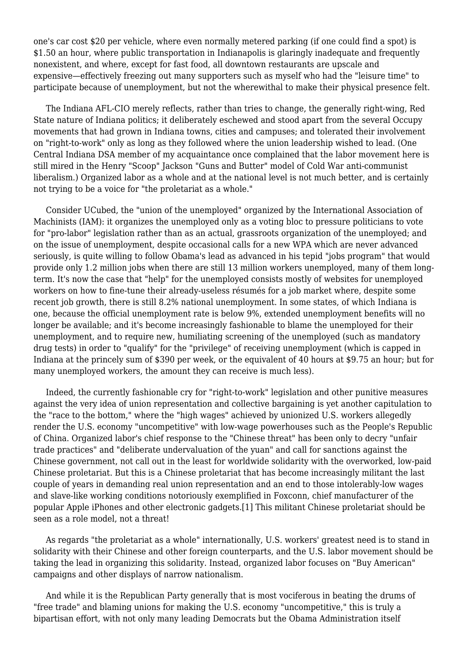one's car cost \$20 per vehicle, where even normally metered parking (if one could find a spot) is \$1.50 an hour, where public transportation in Indianapolis is glaringly inadequate and frequently nonexistent, and where, except for fast food, all downtown restaurants are upscale and expensive—effectively freezing out many supporters such as myself who had the "leisure time" to participate because of unemployment, but not the wherewithal to make their physical presence felt.

 The Indiana AFL-CIO merely reflects, rather than tries to change, the generally right-wing, Red State nature of Indiana politics; it deliberately eschewed and stood apart from the several Occupy movements that had grown in Indiana towns, cities and campuses; and tolerated their involvement on "right-to-work" only as long as they followed where the union leadership wished to lead. (One Central Indiana DSA member of my acquaintance once complained that the labor movement here is still mired in the Henry "Scoop" Jackson "Guns and Butter" model of Cold War anti-communist liberalism.) Organized labor as a whole and at the national level is not much better, and is certainly not trying to be a voice for "the proletariat as a whole."

 Consider UCubed, the "union of the unemployed" organized by the International Association of Machinists (IAM): it organizes the unemployed only as a voting bloc to pressure politicians to vote for "pro-labor" legislation rather than as an actual, grassroots organization of the unemployed; and on the issue of unemployment, despite occasional calls for a new WPA which are never advanced seriously, is quite willing to follow Obama's lead as advanced in his tepid "jobs program" that would provide only 1.2 million jobs when there are still 13 million workers unemployed, many of them longterm. It's now the case that "help" for the unemployed consists mostly of websites for unemployed workers on how to fine-tune their already-useless résumés for a job market where, despite some recent job growth, there is still 8.2% national unemployment. In some states, of which Indiana is one, because the official unemployment rate is below 9%, extended unemployment benefits will no longer be available; and it's become increasingly fashionable to blame the unemployed for their unemployment, and to require new, humiliating screening of the unemployed (such as mandatory drug tests) in order to "qualify" for the "privilege" of receiving unemployment (which is capped in Indiana at the princely sum of \$390 per week, or the equivalent of 40 hours at \$9.75 an hour; but for many unemployed workers, the amount they can receive is much less).

 Indeed, the currently fashionable cry for "right-to-work" legislation and other punitive measures against the very idea of union representation and collective bargaining is yet another capitulation to the "race to the bottom," where the "high wages" achieved by unionized U.S. workers allegedly render the U.S. economy "uncompetitive" with low-wage powerhouses such as the People's Republic of China. Organized labor's chief response to the "Chinese threat" has been only to decry "unfair trade practices" and "deliberate undervaluation of the yuan" and call for sanctions against the Chinese government, not call out in the least for worldwide solidarity with the overworked, low-paid Chinese proletariat. But this is a Chinese proletariat that has become increasingly militant the last couple of years in demanding real union representation and an end to those intolerably-low wages and slave-like working conditions notoriously exemplified in Foxconn, chief manufacturer of the popular Apple iPhones and other electronic gadgets.[1] This militant Chinese proletariat should be seen as a role model, not a threat!

 As regards "the proletariat as a whole" internationally, U.S. workers' greatest need is to stand in solidarity with their Chinese and other foreign counterparts, and the U.S. labor movement should be taking the lead in organizing this solidarity. Instead, organized labor focuses on "Buy American" campaigns and other displays of narrow nationalism.

 And while it is the Republican Party generally that is most vociferous in beating the drums of "free trade" and blaming unions for making the U.S. economy "uncompetitive," this is truly a bipartisan effort, with not only many leading Democrats but the Obama Administration itself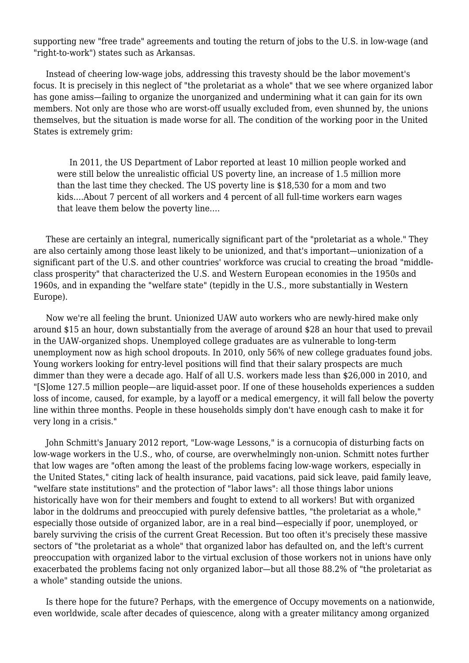supporting new "free trade" agreements and touting the return of jobs to the U.S. in low-wage (and "right-to-work") states such as Arkansas.

 Instead of cheering low-wage jobs, addressing this travesty should be the labor movement's focus. It is precisely in this neglect of "the proletariat as a whole" that we see where organized labor has gone amiss—failing to organize the unorganized and undermining what it can gain for its own members. Not only are those who are worst-off usually excluded from, even shunned by, the unions themselves, but the situation is made worse for all. The condition of the working poor in the United States is [extremely grim](http://lists.portside.org/cgi-bin/listserv/wa?A2=ind1201C&L=PORTSIDE&F=&S=&P=14830):

 In 2011, the US Department of Labor reported at least 10 million people worked and were still below the unrealistic official US poverty line, an increase of 1.5 million more than the last time they checked. The US poverty line is \$18,530 for a mom and two kids….About 7 percent of all workers and 4 percent of all full-time workers earn wages that leave them below the poverty line….

 These are certainly an integral, numerically significant part of the "proletariat as a whole." They are also certainly among those least likely to be unionized, and that's important—unionization of a significant part of the U.S. and other countries' workforce was crucial to creating the broad "middleclass prosperity" that characterized the U.S. and Western European economies in the 1950s and 1960s, and in expanding the "welfare state" (tepidly in the U.S., more substantially in Western Europe).

 Now we're all feeling the brunt. Unionized UAW auto workers who are newly-hired make only around \$15 an hour, down substantially from the average of around \$28 an hour that used to prevail in the UAW-organized shops. [Unemployed college graduates](http://www.huffingtonpost.com/2012/02/02/long-term-unemployment-college-graduates_n_1250418.html) are as vulnerable to long-term unemployment now as high school dropouts. In 2010, [only 56%](http://www.nytimes.com/2011/05/19/business/economy/19grads.html) of new college graduates [found jobs.](http://news.yahoo.com/1-2-graduates-jobless-underemployed-140300522.html) Young workers looking for entry-level positions will find that their [salary prospects are much](http://www.epi.org/publication/ib327-young-workers-wages/) [dimmer](http://www.epi.org/publication/ib327-young-workers-wages/) than they were a decade ago. Half of all U.S. workers made [less than \\$26,000 in 2010,](http://www.theatlantic.com/business/archive/2011/10/50-of-all-workers-made-less-than-26-000-in-2010/247059/) and "[S]ome 127.5 million people—are [liquid-asset poor.](http://www.huffingtonpost.com/2012/01/31/working-poor-liquid-asset-poverty_n_1243152.html) If one of these households experiences a sudden loss of income, caused, for example, by a layoff or a medical emergency, it will fall below the poverty line within three months. People in these households simply don't have enough cash to make it for very long in a crisis."

 John Schmitt's January 2012 report, "[Low-wage Lessons,](http://www.cepr.net/index.php/publications/reports/low-wage-lessons)" is a cornucopia of disturbing facts on low-wage workers in the U.S., who, of course, are overwhelmingly non-union. Schmitt notes further that low wages are "often among the least of the problems facing low-wage workers, especially in the United States," citing lack of health insurance, paid vacations, paid sick leave, paid family leave, "welfare state institutions" and the protection of "labor laws": all those things labor unions historically have won for their members and fought to extend to all workers! But with organized labor in the doldrums and preoccupied with purely defensive battles, "the proletariat as a whole," especially those outside of organized labor, are in a real bind—especially if poor, unemployed, or barely surviving the crisis of the current Great Recession. But too often it's precisely these massive sectors of "the proletariat as a whole" that organized labor has defaulted on, and the left's current preoccupation with organized labor to the virtual exclusion of those workers not in unions have only exacerbated the problems facing not only organized labor—but all those 88.2% of "the proletariat as a whole" standing outside the unions.

 Is there hope for the future? Perhaps, with the emergence of Occupy movements on a nationwide, even worldwide, scale after decades of quiescence, along with a greater militancy among organized